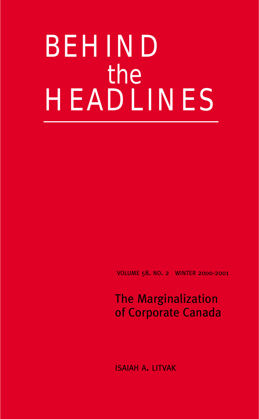# BEHIND the HEADLINES

VOLUME 58. NO. 2 WINTER 2000-2001

## The Marginalization of Corporate Canada

ISAIAH A. LITVAK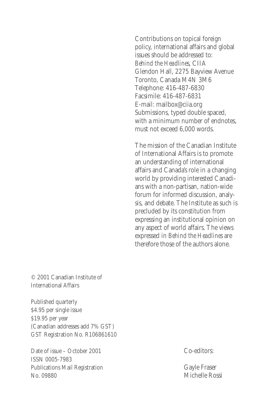Contributions on topical foreign policy, international affairs and global issues should be addressed to: *Behind the Headlines*, CIIA Glendon Hall, 2275 Bayview Avenue Toronto, Canada M4N 3M6 Telephone: 416-487-6830 Facsimile: 416-487-6831 E-mail: mailbox@ciia.org Submissions, typed double spaced, with a minimum number of endnotes, must not exceed 6,000 words.

The mission of the Canadian Institute of International Affairs is to promote an understanding of international affairs and Canada's role in a changing world by providing interested Canadians with a non-partisan, nation-wide forum for informed discussion, analysis, and debate. The Institute as such is precluded by its constitution from expressing an institutional opinion on any aspect of world affairs. The views expressed in *Behind the Headlines* are therefore those of the authors alone.

© 2001 Canadian Institute of International Affairs

Published quarterly \$4.95 per single issue \$19.95 per year (Canadian addresses add 7% GST) GST Registration No. R106861610

Date of issue – October 2001 ISSN 0005-7983 Publications Mail Registration No. 09880

Co-editors:

Gayle Fraser Michelle Rossi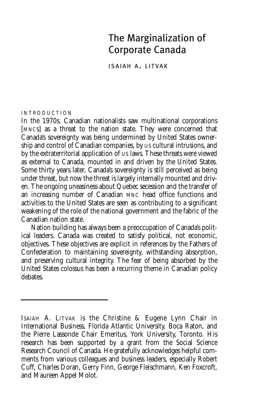## The Marginalization of Corporate Canada

ISAIAH A. LITVAK

#### INTRODUCTION

In the 1970s, Canadian nationalists saw multinational corporations [MNCs] as a threat to the nation state. They were concerned that Canada's sovereignty was being undermined by United States ownership and control of Canadian companies, by US cultural intrusions, and by the extraterritorial application of US laws. These threats were viewed as external to Canada, mounted in and driven by the United States. Some thirty years later, Canada's sovereignty is still perceived as being under threat, but now the threat is largely internally mounted and driven. The ongoing uneasiness about Quebec secession and the transfer of an increasing number of Canadian MNC head office functions and activities to the United States are seen as contributing to a significant weakening of the role of the national government and the fabric of the Canadian nation state.

Nation building has always been a preoccupation of Canada's political leaders. Canada was created to satisfy political, not economic, objectives. These objectives are explicit in references by the Fathers of Confederation to maintaining sovereignty, withstanding absorption, and preserving cultural integrity. The fear of being absorbed by the United States colossus has been a recurring theme in Canadian policy debates.

ISAIAH A. LITVAK is the Christine & Eugene Lynn Chair in International Business, Florida Atlantic University, Boca Raton, and the Pierre Lassonde Chair Emeritus, York University, Toronto. His research has been supported by a grant from the Social Science Research Council of Canada. He gratefully acknowledges helpful comments from various colleagues and business leaders, especially Robert Cuff, Charles Doran, Gerry Finn, George Fleischmann, Ken Foxcroft, and Maureen Appel Molot.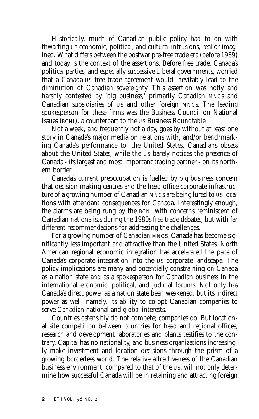Historically, much of Canadian public policy had to do with thwarting US economic, political, and cultural intrusions, real or imagined. What differs between the postwar pre-free trade era (before 1989) and today is the context of the assertions. Before free trade, Canada's political parties, and especially successive Liberal governments, worried that a Canada-US free trade agreement would inevitably lead to the diminution of Canadian sovereignty. This assertion was hotly and harshly contested by 'big business,' primarily Canadian MNCs and Canadian subsidiaries of US and other foreign MNCs. The leading spokesperson for these firms was the Business Council on National Issues (BCNI), a counterpart to the US Business Roundtable.

Not a week, and frequently not a day, goes by without at least one story in Canada's major media on relations with, and/or benchmarking Canada's performance to, the United States. Canadians obsess about the United States, while the US barely notices the presence of Canada - its largest and most important trading partner - on its northern border.

Canada's current preoccupation is fuelled by big business concern that decision-making centres and the head office corporate infrastructure of a growing number of Canadian MNCs are being lured to US locations with attendant consequences for Canada. Interestingly enough, the alarms are being rung by the BCNI with concerns reminiscent of Canadian nationalists during the 1980s free trade debates, but with far different recommendations for addressing the challenges.

For a growing number of Canadian MNCs, Canada has become significantly less important and attractive than the United States. North American regional economic integration has accelerated the pace of Canada's corporate integration into the US corporate landscape. The policy implications are many and potentially constraining on Canada as a nation state and as a spokesperson for Canadian business in the international economic, political, and judicial forums. Not only has Canada's direct power as a nation state been weakened, but its indirect power as well, namely, its ability to co-opt Canadian companies to serve Canadian national and global interests.

Countries ostensibly do not compete; companies do. But locational site competition between countries for head and regional offices, research and development laboratories and plants testifies to the contrary. Capital has no nationality, and business organizations increasingly make investment and location decisions through the prism of a growing borderless world. The relative attractiveness of the Canadian business environment, compared to that of the US, will not only determine how successful Canada will be in retaining and attracting foreign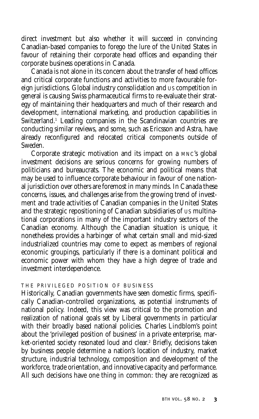direct investment but also whether it will succeed in convincing Canadian-based companies to forego the lure of the United States in favour of retaining their corporate head offices and expanding their corporate business operations in Canada.

Canada is not alone in its concern about the transfer of head offices and critical corporate functions and activities to more favourable foreign jurisdictions. Global industry consolidation and US competition in general is causing Swiss pharmaceutical firms to re-evaluate their strategy of maintaining their headquarters and much of their research and development, international marketing, and production capabilities in Switzerland.<sup>1</sup> Leading companies in the Scandinavian countries are conducting similar reviews, and some, such as Ericsson and Astra, have already reconfigured and relocated critical components outside of Sweden.

Corporate strategic motivation and its impact on a MNC's global investment decisions are serious concerns for growing numbers of politicians and bureaucrats. The economic and political means that may be used to influence corporate behaviour in favour of one national jurisdiction over others are foremost in many minds. In Canada these concerns, issues, and challenges arise from the growing trend of investment and trade activities of Canadian companies in the United States and the strategic repositioning of Canadian subsidiaries of US multinational corporations in many of the important industry sectors of the Canadian economy. Although the Canadian situation is unique, it nonetheless provides a harbinger of what certain small and mid-sized industrialized countries may come to expect as members of regional economic groupings, particularly if there is a dominant political and economic power with whom they have a high degree of trade and investment interdependence.

#### THE PRIVILEGED POSITION OF BUSINESS

Historically, Canadian governments have seen domestic firms, specifically Canadian-controlled organizations, as potential instruments of national policy. Indeed, this view was critical to the promotion and realization of national goals set by Liberal governments in particular with their broadly based national policies. Charles Lindblom's point about the 'privileged position of business' in a private enterprise, market-oriented society resonated loud and clear.<sup>2</sup> Briefly, decisions taken by business people determine a nation's location of industry, market structure, industrial technology, composition and development of the workforce, trade orientation, and innovative capacity and performance. All such decisions have one thing in common: they are recognized as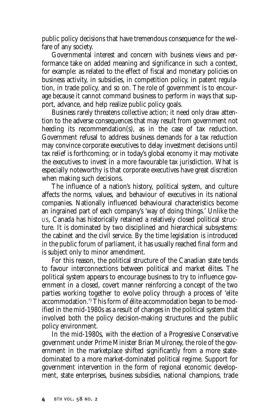public policy decisions that have tremendous consequence for the welfare of any society.

Governmental interest and concern with business views and performance take on added meaning and significance in such a context, for example: as related to the effect of fiscal and monetary policies on business activity, in subsidies, in competition policy, in patent regulation, in trade policy, and so on. The role of government is to encourage because it cannot command business to perform in ways that support, advance, and help realize public policy goals.

Business rarely threatens collective action; it need only draw attention to the adverse consequences that may result from government not heeding its recommendation(s), as in the case of tax reduction. Government refusal to address business demands for a tax reduction may convince corporate executives to delay investment decisions until tax relief is forthcoming; or in today's global economy it may motivate the executives to invest in a more favourable tax jurisdiction. What is especially noteworthy is that corporate executives have great discretion when making such decisions.

The influence of a nation's history, political system, and culture affects the norms, values, and behaviour of executives in its national companies. Nationally influenced behavioural characteristics become an ingrained part of each company's 'way of doing things.' Unlike the US, Canada has historically retained a relatively closed political structure. It is dominated by two disciplined and hierarchical subsystems: the cabinet and the civil service. By the time legislation is introduced in the public forum of parliament, it has usually reached final form and is subject only to minor amendment.

For this reason, the political structure of the Canadian state tends to favour interconnections between political and market élites. The political system appears to encourage business to try to influence government in a closed, covert manner reinforcing a concept of the two parties working together to evolve policy through a process of 'elite accommodation.'3 This form of élite accommodation began to be modified in the mid-1980s as a result of changes in the political system that involved both the policy decision-making structures and the public policy environment.

In the mid-1980s, with the election of a Progressive Conservative government under Prime Minister Brian Mulroney, the role of the government in the marketplace shifted significantly from a more statedominated to a more market-dominated political regime. Support for government intervention in the form of regional economic development, state enterprises, business subsidies, national champions, trade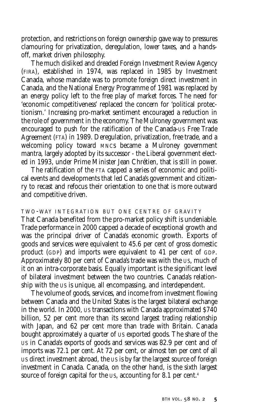protection, and restrictions on foreign ownership gave way to pressures clamouring for privatization, deregulation, lower taxes, and a handsoff, market driven philosophy.

The much disliked and dreaded Foreign Investment Review Agency (FIRA), established in 1974, was replaced in 1985 by Investment Canada, whose mandate was to promote foreign direct investment in Canada, and the National Energy Programme of 1981 was replaced by an energy policy left to the free play of market forces. The need for 'economic competitiveness' replaced the concern for 'political protectionism.' Increasing pro-market sentiment encouraged a reduction in the role of government in the economy. The Mulroney government was encouraged to push for the ratification of the Canada-US Free Trade Agreement (FTA) in 1989. Deregulation, privatization, free trade, and a welcoming policy toward MNCs became a Mulroney government mantra, largely adopted by its successor - the Liberal government elected in 1993, under Prime Minister Jean Chrétien, that is still in power.

The ratification of the FTA capped a series of economic and political events and developments that led Canada's government and citizenry to recast and refocus their orientation to one that is more outward and competitive driven.

TWO-WAY INTEGRATION BUT ONE CENTRE OF GRAVITY That Canada benefited from the pro-market policy shift is undeniable. Trade performance in 2000 capped a decade of exceptional growth and was the principal driver of Canada's economic growth. Exports of goods and services were equivalent to 45.6 per cent of gross domestic product (GDP) and imports were equivalent to 41 per cent of GDP. Approximately 80 per cent of Canada's trade was with the US, much of it on an intra-corporate basis. Equally important is the significant level of bilateral investment between the two countries. Canada's relationship with the US is unique, all encompassing, and interdependent.

The volume of goods, services, and income from investment flowing between Canada and the United States is the largest bilateral exchange in the world. In 2000, US transactions with Canada approximated \$740 billion, 52 per cent more than its second largest trading relationship with Japan, and 62 per cent more than trade with Britain. Canada bought approximately a quarter of US exported goods. The share of the US in Canada's exports of goods and services was 82.9 per cent and of imports was 72.1 per cent. At 72 per cent, or almost ten per cent of all US direct investment abroad, the US is by far the largest source of foreign investment in Canada. Canada, on the other hand, is the sixth largest source of foreign capital for the US, accounting for 8.1 per cent.<sup>4</sup>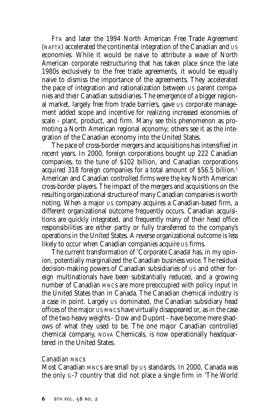FTA and later the 1994 North American Free Trade Agreement (NAFTA) accelerated the continental integration of the Canadian and US economies. While it would be naive to attribute a wave of North American corporate restructuring that has taken place since the late 1980s exclusively to the free trade agreements, it would be equally naive to dismiss the importance of the agreements. They accelerated the pace of integration and rationalization between US parent companies and their Canadian subsidiaries. The emergence of a bigger regional market, largely free from trade barriers, gave US corporate management added scope and incentive for realizing increased economies of scale - plant, product, and firm. Many see this phenomenon as promoting a North American regional economy; others see it as the integration of the Canadian economy into the United States.

The pace of cross-border mergers and acquisitions has intensified in recent years. In 2000, foreign corporations bought up 222 Canadian companies, to the tune of \$102 billion, and Canadian corporations acquired 318 foreign companies for a total amount of \$56.5 billion.<sup>5</sup> American and Canadian controlled firms were the key North American cross-border players. The impact of the mergers and acquisitions on the resulting organizational structure of many Canadian companies is worth noting. When a major US company acquires a Canadian-based firm, a different organizational outcome frequently occurs. Canadian acquisitions are quickly integrated, and frequently many of their head office responsibilities are either partly or fully transferred to the company's operations in the United States. A reverse organizational outcome is less likely to occur when Canadian companies acquire US firms.

The current transformation of 'Corporate Canada' has, in my opinion, potentially marginalized the Canadian business voice. The residual decision-making powers of Canadian subsidiaries of US and other foreign multinationals have been substantially reduced, and a growing number of Canadian MNCs are more preoccupied with policy input in the United States than in Canada. The Canadian chemical industry is a case in point. Largely US dominated, the Canadian subsidiary head offices of the major US MNCs have virtually disappeared or, as in the case of the two heavy weights - Dow and Dupont - have become mere shadows of what they used to be. The one major Canadian controlled chemical company, NOVA Chemicals, is now operationally headquartered in the United States.

#### *Canadian MNCs*

Most Canadian MNCs are small by US standards. In 2000, Canada was the only G-7 country that did not place a single firm in 'The World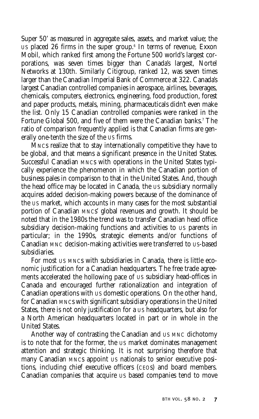Super 50' as measured in aggregate sales, assets, and market value; the US placed 26 firms in the super group.6 In terms of revenue, Exxon Mobil, which ranked first among the Fortune 500 world's largest corporations, was seven times bigger than Canada's largest, Nortel Networks at 130th. Similarly Citigroup, ranked 12, was seven times larger than the Canadian Imperial Bank of Commerce at 322. Canada's largest Canadian controlled companies in aerospace, airlines, beverages, chemicals, computers, electronics, engineering, food production, forest and paper products, metals, mining, pharmaceuticals didn't even make the list. Only 15 Canadian controlled companies were ranked in the Fortune Global 500, and five of them were the Canadian banks.<sup>7</sup> The ratio of comparison frequently applied is that Canadian firms are generally one-tenth the size of the US firms.

MNCs realize that to stay internationally competitive they have to be global, and that means a significant presence in the United States. Successful Canadian MNCs with operations in the United States typically experience the phenomenon in which the Canadian portion of business pales in comparison to that in the United States. And, though the head office may be located in Canada, the US subsidiary normally acquires added decision-making powers because of the dominance of the US market, which accounts in many cases for the most substantial portion of Canadian MNCs' global revenues and growth. It should be noted that in the 1980s the trend was to transfer Canadian head office subsidiary decision-making functions and activities to US parents in particular; in the 1990s, strategic elements and/or functions of Canadian MNC decision-making activities were transferred to US-based subsidiaries.

For most US MNCs with subsidiaries in Canada, there is little economic justification for a Canadian headquarters. The free trade agreements accelerated the hollowing pace of US subsidiary head-offices in Canada and encouraged further rationalization and integration of Canadian operations with US domestic operations. On the other hand, for Canadian MNCs with significant subsidiary operations in the United States, there is not only justification for a US headquarters, but also for a North American headquarters located in part or in whole in the United States.

Another way of contrasting the Canadian and US MNC dichotomy is to note that for the former, the US market dominates management attention and strategic thinking. It is not surprising therefore that many Canadian MNCs appoint US nationals to senior executive positions, including chief executive officers (CEOs) and board members. Canadian companies that acquire US based companies tend to move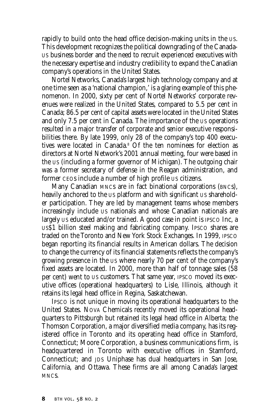rapidly to build onto the head office decision-making units in the US. This development recognizes the political downgrading of the Canada-US business border and the need to recruit experienced executives with the necessary expertise and industry credibility to expand the Canadian company's operations in the United States.

Nortel Networks, Canada's largest high technology company and at one time seen as a 'national champion,' is a glaring example of this phenomenon. In 2000, sixty per cent of Nortel Networks' corporate revenues were realized in the United States, compared to 5.5 per cent in Canada; 86.5 per cent of capital assets were located in the United States and only 7.5 per cent in Canada. The importance of the US operations resulted in a major transfer of corporate and senior executive responsibilities there. By late 1999, only 28 of the company's top 400 executives were located in Canada.<sup>8</sup> Of the ten nominees for election as directors at Nortel Network's 2001 annual meeting, four were based in the US (including a former governor of Michigan). The outgoing chair was a former secretary of defense in the Reagan administration, and former CEOs include a number of high profile US citizens.

Many Canadian MNCs are in fact binational corporations (BNCs), heavily anchored to the US platform and with significant US shareholder participation. They are led by management teams whose members increasingly include US nationals and whose Canadian nationals are largely US educated and/or trained. A good case in point is IPSCO Inc, a US\$1 billion steel making and fabricating company. IPSCO shares are traded on the Toronto and New York Stock Exchanges. In 1999, IPSCO began reporting its financial results in American dollars. The decision to change the currency of its financial statements reflects the company's growing presence in the US where nearly 70 per cent of the company's fixed assets are located. In 2000, more than half of tonnage sales (58 per cent) went to US customers. That same year, IPSCO moved its executive offices (operational headquarters) to Lisle, Illinois, although it retains its legal head office in Regina, Saskatchewan.

IPSCO is not unique in moving its operational headquarters to the United States. NOVA Chemicals recently moved its operational headquarters to Pittsburgh but retained its legal head office in Alberta; the Thomson Corporation, a major diversified media company, has its registered office in Toronto and its operating head office in Stamford, Connecticut; Moore Corporation, a business communications firm, is headquartered in Toronto with executive offices in Stamford, Connecticut; and JDS Uniphase has dual headquarters in San Jose, California, and Ottawa. These firms are all among Canada's largest MNCs.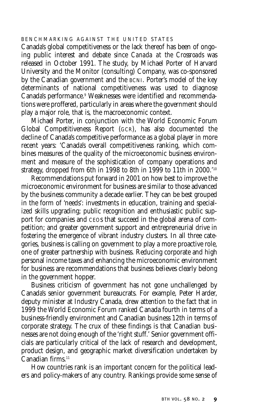#### BENCHMARKING AGAINST THE UNITED STATES

Canada's global competitiveness or the lack thereof has been of ongoing public interest and debate since *Canada at the Crossroads* was released in October 1991. The study, by Michael Porter of Harvard University and the Monitor (consulting) Company, was co-sponsored by the Canadian government and the BCNI. Porter's model of the key determinants of national competitiveness was used to diagnose Canada's performance.9 Weaknesses were identified and recommendations were proffered, particularly in areas where the government should play a major role, that is, the macroeconomic context.

Michael Porter, in conjunction with the World Economic Forum Global Competitiveness Report (GCR), has also documented the decline of Canada's competitive performance as a global player in more recent years: 'Canada's overall competitiveness ranking, which combines measures of the quality of the microeconomic business environment and measure of the sophistication of company operations and strategy, dropped from 6th in 1998 to 8th in 1999 to 11th in 2000.'10

Recommendations put forward in 2001 on how best to improve the microeconomic environment for business are similar to those advanced by the business community a decade earlier. They can be best grouped in the form of 'needs': investments in education, training and specialized skills upgrading; public recognition and enthusiastic public support for companies and CEOs that succeed in the global arena of competition; and greater government support and entrepreneurial drive in fostering the emergence of vibrant industry clusters. In all three categories, business is calling on government to play a more proactive role, one of greater partnership with business. Reducing corporate and high personal income taxes and enhancing the microeconomic environment for business are recommendations that business believes clearly belong in the government hopper.

Business criticism of government has not gone unchallenged by Canada's senior government bureaucrats. For example, Peter Harder, deputy minister at Industry Canada, drew attention to the fact that in 1999 the World Economic Forum ranked Canada fourth in terms of a business-friendly environment and Canadian business 12th in terms of corporate strategy. The crux of these findings is that Canadian businesses are not doing enough of the 'right stuff.' Senior government officials are particularly critical of the lack of research and development, product design, and geographic market diversification undertaken by Canadian firms.<sup>11</sup>

How countries rank is an important concern for the political leaders and policy-makers of any country. Rankings provide some sense of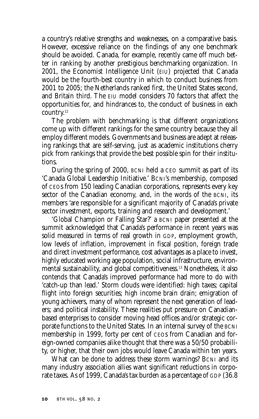a country's relative strengths and weaknesses, on a comparative basis. However, excessive reliance on the findings of any one benchmark should be avoided. Canada, for example, recently came off much better in ranking by another prestigious benchmarking organization. In 2001, the Economist Intelligence Unit (EIU) projected that Canada would be the fourth-best country in which to conduct business from 2001 to 2005; the Netherlands ranked first, the United States second, and Britain third. The EIU model considers 70 factors that affect the opportunities for, and hindrances to, the conduct of business in each country.12

The problem with benchmarking is that different organizations come up with different rankings for the same country because they all employ different models. Governments and business are adept at releasing rankings that are self-serving, just as academic institutions cherry pick from rankings that provide the best possible spin for their institutions.

During the spring of 2000, BCNI held a CEO summit as part of its 'Canada Global Leadership Initiative.' BCNI's membership, composed of CEOs from 150 leading Canadian corporations, represents every key sector of the Canadian economy, and, in the words of the BCNI, its members 'are responsible for a significant majority of Canada's private sector investment, exports, training and research and development.'

'Global Champion or Falling Star?' a BCNI paper presented at the summit acknowledged that Canada's performance in recent years was solid measured in terms of real growth in GDP, employment growth, low levels of inflation, improvement in fiscal position, foreign trade and direct investment performance, cost advantages as a place to invest, highly educated working age population, social infrastructure, environmental sustainability, and global competitiveness.13 Nonetheless, it also contends that Canada's improved performance had more to do with 'catch-up than lead.' Storm clouds were identified: high taxes; capital flight into foreign securities; high income brain drain; emigration of young achievers, many of whom represent the next generation of leaders; and political instability. These realities put pressure on Canadianbased enterprises to consider moving head offices and/or strategic corporate functions to the United States. In an internal survey of the BCNI membership in 1999, forty per cent of CEOs from Canadian and foreign-owned companies alike thought that there was a 50/50 probability, or higher, that their own jobs would leave Canada within ten years.

What can be done to address these storm warnings? BCNI and its many industry association allies want significant reductions in corporate taxes. As of 1999, Canada's tax burden as a percentage of GDP (36.8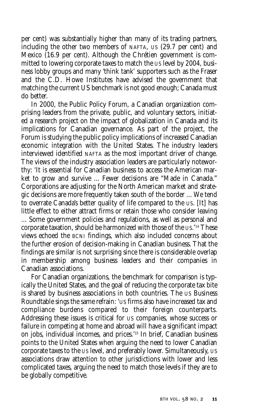per cent) was substantially higher than many of its trading partners, including the other two members of NAFTA, US (29.7 per cent) and Mexico (16.9 per cent). Although the Chrétien government is committed to lowering corporate taxes to match the US level by 2004, business lobby groups and many 'think tank' supporters such as the Fraser and the C.D. Howe Institutes have advised the government that matching the current US benchmark is not good enough; Canada must do better.

In 2000, the Public Policy Forum, a Canadian organization comprising leaders from the private, public, and voluntary sectors, initiated a research project on the impact of globalization in Canada and its implications for Canadian governance. As part of the project, the Forum is studying the public policy implications of increased Canadian economic integration with the United States. The industry leaders interviewed identified NAFTA as the most important driver of change. The views of the industry association leaders are particularly noteworthy: 'It is essential for Canadian business to access the American market to grow and survive ... Fewer decisions are "Made in Canada." Corporations are adjusting for the North American market and strategic decisions are more frequently taken south of the border ... We tend to overrate Canada's better quality of life compared to the US. [It] has little effect to either attract firms or retain those who consider leaving ... Some government policies and regulations, as well as personal and corporate taxation, should be harmonized with those of the US.'14 These views echoed the BCNI findings, which also included concerns about the further erosion of decision-making in Canadian business. That the findings are similar is not surprising since there is considerable overlap in membership among business leaders and their companies in Canadian associations.

For Canadian organizations, the benchmark for comparison is typically the United States, and the goal of reducing the corporate tax bite is shared by business associations in both countries. The US Business Roundtable sings the same refrain: 'US firms also have increased tax and compliance burdens compared to their foreign counterparts. Addressing these issues is critical for US companies, whose success or failure in competing at home and abroad will have a significant impact on jobs, individual incomes, and prices.'15 In brief, Canadian business points to the United States when arguing the need to lower Canadian corporate taxes to the US level, and preferably lower. Simultaneously, US associations draw attention to other jurisdictions with lower and less complicated taxes, arguing the need to match those levels if they are to be globally competitive.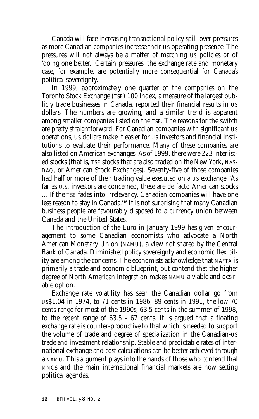Canada will face increasing transnational policy spill-over pressures as more Canadian companies increase their US operating presence. The pressures will not always be a matter of matching US policies or of 'doing one better.' Certain pressures, the exchange rate and monetary case, for example, are potentially more consequential for Canada's political sovereignty.

In 1999, approximately one quarter of the companies on the Toronto Stock Exchange (TSE) 100 index, a measure of the largest publicly trade businesses in Canada, reported their financial results in US dollars. The numbers are growing, and a similar trend is apparent among smaller companies listed on the TSE. The reasons for the switch are pretty straightforward. For Canadian companies with significant US operations, US dollars make it easier for US investors and financial institutions to evaluate their performance. Many of these companies are also listed on American exchanges. As of 1999, there were 223 interlisted stocks (that is, TSE stocks that are also traded on the New York, NAS-DAQ, or American Stock Exchanges). Seventy-five of those companies had half or more of their trading value executed on a US exchange. 'As far as U.S. investors are concerned, these are de facto American stocks ... If the TSE fades into irrelevancy, Canadian companies will have one less reason to stay in Canada.'16 It is not surprising that many Canadian business people are favourably disposed to a currency union between Canada and the United States.

The introduction of the Euro in January 1999 has given encouragement to some Canadian economists who advocate a North American Monetary Union (NAMU), a view not shared by the Central Bank of Canada. Diminished policy sovereignty and economic flexibility are among the concerns. The economists acknowledge that NAFTA is primarily a trade and economic blueprint, but contend that the higher degree of North American integration makes NAMU a viable and desirable option.

Exchange rate volatility has seen the Canadian dollar go from US\$1.04 in 1974, to 71 cents in 1986, 89 cents in 1991, the low 70 cents range for most of the 1990s, 63.5 cents in the summer of 1998, to the recent range of 63.5 - 67 cents. It is argued that a floating exchange rate is counter-productive to that which is needed to support the volume of trade and degree of specialization in the Canadian-US trade and investment relationship. Stable and predictable rates of international exchange and cost calculations can be better achieved through a NAMU. This argument plays into the hands of those who contend that MNCs and the main international financial markets are now setting political agendas.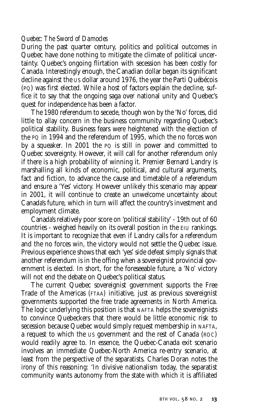#### *Quebec: The Sword of Damocles*

During the past quarter century, politics and political outcomes in Quebec have done nothing to mitigate the climate of political uncertainty. Quebec's ongoing flirtation with secession has been costly for Canada. Interestingly enough, the Canadian dollar began its significant decline against the US dollar around 1976, the year the Parti Québécois (PQ) was first elected. While a host of factors explain the decline, suffice it to say that the ongoing saga over national unity and Quebec's quest for independence has been a factor.

The 1980 referendum to secede, though won by the 'No' forces, did little to allay concern in the business community regarding Quebec's political stability. Business fears were heightened with the election of the PQ in 1994 and the referendum of 1995, which the no forces won by a squeaker. In 2001 the PQ is still in power and committed to Quebec sovereignty. However, it will call for another referendum only if there is a high probability of winning it. Premier Bernard Landry is marshalling all kinds of economic, political, and cultural arguments, fact and fiction, to advance the cause and timetable of a referendum and ensure a 'Yes' victory. However unlikely this scenario may appear in 2001, it will continue to create an unwelcome uncertainty about Canada's future, which in turn will affect the country's investment and employment climate.

Canada's relatively poor score on 'political stability' - 19th out of 60 countries - weighed heavily on its overall position in the EIU rankings. It is important to recognize that even if Landry calls for a referendum and the no forces win, the victory would not settle the Quebec issue. Previous experience shows that each 'yes' side defeat simply signals that another referendum is in the offing when a sovereignist provincial government is elected. In short, for the foreseeable future, a 'No' victory will not end the debate on Quebec's political status.

The current Quebec sovereignist government supports the Free Trade of the Americas (FTAA) initiative, just as previous sovereignist governments supported the free trade agreements in North America. The logic underlying this position is that NAFTA helps the sovereignists to convince Quebeckers that there would be little economic risk to secession because Quebec would simply request membership in NAFTA, a request to which the US government and the rest of Canada (ROC) would readily agree to. In essence, the Quebec-Canada exit scenario involves an immediate Quebec-North America re-entry scenario, at least from the perspective of the separatists. Charles Doran notes the irony of this reasoning: 'In divisive nationalism today, the separatist community wants autonomy from the state with which it is affiliated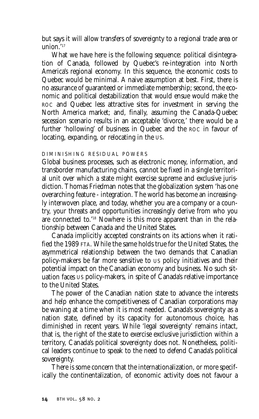but says it will allow transfers of sovereignty to a regional trade area or union.'17

What we have here is the following sequence: political disintegration of Canada, followed by Quebec's re-integration into North America's regional economy. In this sequence, the economic costs to Quebec would be minimal. A naive assumption at best. First, there is no assurance of guaranteed or immediate membership; second, the economic and political destabilization that would ensue would make the ROC and Quebec less attractive sites for investment in serving the North America market; and, finally, assuming the Canada-Quebec secession scenario results in an acceptable 'divorce,' there would be a further 'hollowing' of business in Quebec and the ROC in favour of locating, expanding, or relocating in the US.

#### DIMINISHING RESIDUAL POWERS

Global business processes, such as electronic money, information, and transborder manufacturing chains, cannot be fixed in a single territorial unit over which a state might exercise supreme and exclusive jurisdiction. Thomas Friedman notes that the globalization system 'has one overarching feature - integration. The world has become an increasingly interwoven place, and today, whether you are a company or a country, your threats and opportunities increasingly derive from who you are connected to.'18 Nowhere is this more apparent than in the relationship between Canada and the United States.

Canada implicitly accepted constraints on its actions when it ratified the 1989 FTA. While the same holds true for the United States, the asymmetrical relationship between the two demands that Canadian policy-makers be far more sensitive to US policy initiatives and their potential impact on the Canadian economy and business. No such situation faces US policy-makers, in spite of Canada's relative importance to the United States.

The power of the Canadian nation state to advance the interests and help enhance the competitiveness of Canadian corporations may be waning at a time when it is most needed. Canada's sovereignty as a nation state, defined by its capacity for autonomous choice, has diminished in recent years. While 'legal sovereignty' remains intact, that is, the right of the state to exercise exclusive jurisdiction within a territory, Canada's political sovereignty does not. Nonetheless, political leaders continue to speak to the need to defend Canada's political sovereignty.

There is some concern that the internationalization, or more specifically the continentalization, of economic activity does not favour a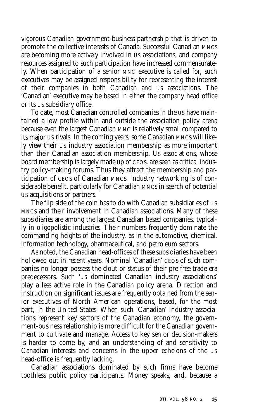vigorous Canadian government-business partnership that is driven to promote the collective interests of Canada. Successful Canadian MNCs are becoming more actively involved in US associations, and company resources assigned to such participation have increased commensurately. When participation of a senior MNC executive is called for, such executives may be assigned responsibility for representing the interest of their companies in both Canadian and US associations. The 'Canadian' executive may be based in either the company head office or its US subsidiary office.

To date, most Canadian controlled companies in the US have maintained a low profile within and outside the association policy arena because even the largest Canadian MNC is relatively small compared to its major US rivals. In the coming years, some Canadian MNCs will likely view their US industry association membership as more important than their Canadian association membership. US associations, whose board membership is largely made up of CEOs, are seen as critical industry policy-making forums. Thus they attract the membership and participation of CEOs of Canadian MNCs. Industry networking is of considerable benefit, particularly for Canadian MNCs in search of potential US acquisitions or partners.

The flip side of the coin has to do with Canadian subsidiaries of US MNCs and their involvement in Canadian associations. Many of these subsidiaries are among the largest Canadian based companies, typically in oligopolistic industries. Their numbers frequently dominate the commanding heights of the industry, as in the automotive, chemical, information technology, pharmaceutical, and petroleum sectors.

As noted, the Canadian head-offices of these subsidiaries have been hollowed out in recent years. Nominal 'Canadian' CEOS of such companies no longer possess the clout or status of their pre-free trade era predecessors. Such 'US dominated Canadian industry associations' play a less active role in the Canadian policy arena. Direction and instruction on significant issues are frequently obtained from the senior executives of North American operations, based, for the most part, in the United States. When such 'Canadian' industry associations represent key sectors of the Canadian economy, the government-business relationship is more difficult for the Canadian government to cultivate and manage. Access to key senior decision-makers is harder to come by, and an understanding of and sensitivity to Canadian interests and concerns in the upper echelons of the US head-office is frequently lacking.

Canadian associations dominated by such firms have become toothless public policy participants. Money speaks, and, because a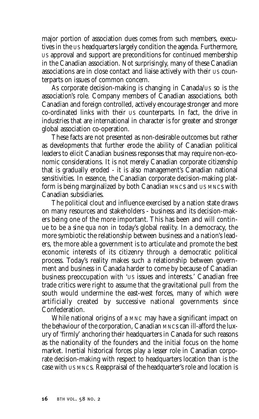major portion of association dues comes from such members, executives in the US headquarters largely condition the agenda. Furthermore, US approval and support are preconditions for continued membership in the Canadian association. Not surprisingly, many of these Canadian associations are in close contact and liaise actively with their US counterparts on issues of common concern.

As corporate decision-making is changing in Canada/US so is the association's role. Company members of Canadian associations, both Canadian and foreign controlled, actively encourage stronger and more co-ordinated links with their US counterparts. In fact, the drive in industries that are international in character is for greater and stronger global association co-operation.

These facts are not presented as non-desirable outcomes but rather as developments that further erode the ability of Canadian political leaders to elicit Canadian business responses that may require non-economic considerations. It is not merely Canadian corporate citizenship that is gradually eroded - it is also management's Canadian national sensitivities. In essence, the Canadian corporate decision-making platform is being marginalized by both Canadian MNCs and US MNCs with Canadian subsidiaries.

The political clout and influence exercised by a nation state draws on many resources and stakeholders - business and its decision-makers being one of the more important. This has been and will continue to be a *sine qua non* in today's global reality. In a democracy, the more symbiotic the relationship between business and a nation's leaders, the more able a government is to articulate and promote the best economic interests of its citizenry through a democratic political process. Today's reality makes such a relationship between government and business in Canada harder to come by because of Canadian business preoccupation with 'US issues and interests.' Canadian free trade critics were right to assume that the gravitational pull from the south would undermine the east-west forces, many of which were artificially created by successive national governments since Confederation.

While national origins of a MNC may have a significant impact on the behaviour of the corporation, Canadian MNCs can ill-afford the luxury of 'firmly' anchoring their headquarters in Canada for such reasons as the nationality of the founders and the initial focus on the home market. Inertial historical forces play a lesser role in Canadian corporate decision-making with respect to headquarters location than is the case with US MNCs. Reappraisal of the headquarter's role and location is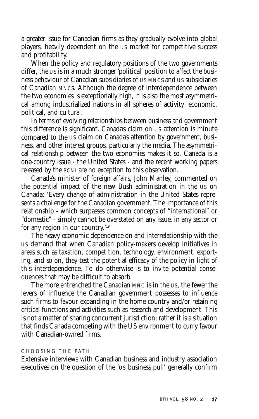a greater issue for Canadian firms as they gradually evolve into global players, heavily dependent on the US market for competitive success and profitability.

When the policy and regulatory positions of the two governments differ, the US is in a much stronger 'political' position to affect the business behaviour of Canadian subsidiaries of US MNCs and US subsidiaries of Canadian MNCs. Although the degree of interdependence between the two economies is exceptionally high, it is also the most asymmetrical among industrialized nations in all spheres of activity: economic, political, and cultural.

In terms of evolving relationships between business and government this difference is significant. Canada's claim on US attention is minute compared to the US claim on Canada's attention by government, business, and other interest groups, particularly the media. The asymmetrical relationship between the two economies makes it so. Canada is a one-country issue - the United States - and the recent working papers released by the BCNI are no exception to this observation.

Canada's minister of foreign affairs, John Manley, commented on the potential impact of the new Bush administration in the US on Canada: 'Every change of administration in the United States represents a challenge for the Canadian government. The importance of this relationship - which surpasses common concepts of "international" or "domestic" - simply cannot be overstated on any issue, in any sector or for any region in our country.'19

The heavy economic dependence on and interrelationship with the US demand that when Canadian policy-makers develop initiatives in areas such as taxation, competition, technology, environment, exporting, and so on, they test the potential efficacy of the policy in light of this interdependence. To do otherwise is to invite potential consequences that may be difficult to absorb.

The more entrenched the Canadian MNC is in the US, the fewer the levers of influence the Canadian government possesses to influence such firms to favour expanding in the home country and/or retaining critical functions and activities such as research and development. This is not a matter of sharing concurrent jurisdiction; rather it is a situation that finds Canada competing with the US environment to curry favour with Canadian-owned firms.

#### CHOOSING THE PATH

Extensive interviews with Canadian business and industry association executives on the question of the 'US business pull' generally confirm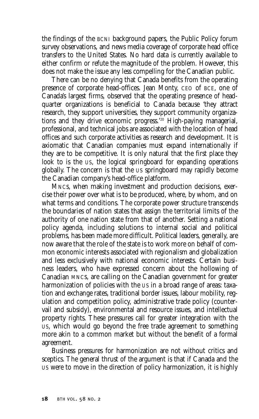the findings of the BCNI background papers, the Public Policy forum survey observations, and news media coverage of corporate head office transfers to the United States. No hard data is currently available to either confirm or refute the magnitude of the problem. However, this does not make the issue any less compelling for the Canadian public.

There can be no denying that Canada benefits from the operating presence of corporate head-offices. Jean Monty, CEO of BCE, one of Canada's largest firms, observed that the operating presence of headquarter organizations is beneficial to Canada because 'they attract research, they support universities, they support community organizations and they drive economic progress.'20 High-paying managerial, professional, and technical jobs are associated with the location of head offices and such corporate activities as research and development. It is axiomatic that Canadian companies must expand internationally if they are to be competitive. It is only natural that the first place they look to is the US, the logical springboard for expanding operations globally. The concern is that the US springboard may rapidly become the Canadian company's head-office platform.

MNCs, when making investment and production decisions, exercise their power over what is to be produced, where, by whom, and on what terms and conditions. The corporate power structure transcends the boundaries of nation states that assign the territorial limits of the authority of one nation state from that of another. Setting a national policy agenda, including solutions to internal social and political problems, has been made more difficult. Political leaders, generally, are now aware that the role of the state is to work more on behalf of common economic interests associated with regionalism and globalization and less exclusively with national economic interests. Certain business leaders, who have expressed concern about the hollowing of Canadian MNCs, are calling on the Canadian government for greater harmonization of policies with the US in a broad range of areas: taxation and exchange rates, traditional border issues, labour mobility, regulation and competition policy, administrative trade policy (countervail and subsidy), environmental and resource issues, and intellectual property rights. These pressures call for greater integration with the US, which would go beyond the free trade agreement to something more akin to a common market but without the benefit of a formal agreement.

Business pressures for harmonization are not without critics and sceptics. The general thrust of the argument is that if Canada and the US were to move in the direction of policy harmonization, it is highly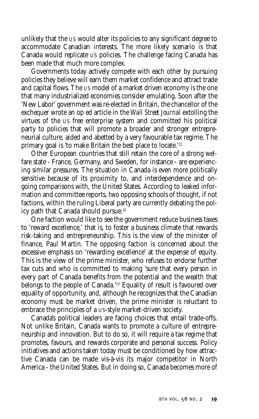unlikely that the US would alter its policies to any significant degree to accommodate Canadian interests. The more likely scenario is that Canada would replicate US policies. The challenge facing Canada has been made that much more complex.

Governments today actively compete with each other by pursuing policies they believe will earn them market confidence and attract trade and capital flows. The US model of a market driven economy is the one that many industrialized economies consider emulating. Soon after the 'New Labor' government was re-elected in Britain, the chancellor of the exchequer wrote an op ed article in the *Wall Street Journal* extolling the virtues of the US free enterprise system and committed his political party to policies that will promote a broader and stronger entrepreneurial culture, aided and abetted by a very favourable tax regime. The primary goal is 'to make Britain the best place to locate.'21

Other European countries that still retain the core of a strong welfare state - France, Germany, and Sweden, for instance - are experiencing similar pressures. The situation in Canada is even more politically sensitive because of its proximity to, and interdependence and ongoing comparisons with, the United States. According to leaked information and committee reports, two opposing schools of thought, if not factions, within the ruling Liberal party are currently debating the policy path that Canada should pursue.<sup>22</sup>

One faction would like to see the government reduce business taxes to 'reward excellence,' that is, to foster a business climate that rewards risk-taking and entrepreneurship. This is the view of the minister of finance, Paul Martin. The opposing faction is concerned about the excessive emphasis on 'rewarding excellence' at the expense of equity. This is the view of the prime minister, who refuses to endorse further tax cuts and who is committed to making 'sure that every person in every part of Canada benefits from the potential and the wealth that belongs to the people of Canada.'<sup>23</sup> Equality of result is favoured over equality of opportunity, and, although he recognizes that the Canadian economy must be market driven, the prime minister is reluctant to embrace the principles of a US-style market-driven society.

Canada's political leaders are facing choices that entail trade-offs. Not unlike Britain, Canada wants to promote a culture of entrepreneurship and innovation. But to do so, it will require a tax regime that promotes, favours, and rewards corporate and personal success. Policy initiatives and actions taken today must be conditioned by how attractive Canada can be made vis-à-vis its major competitor in North America - the United States. But in doing so, Canada becomes more of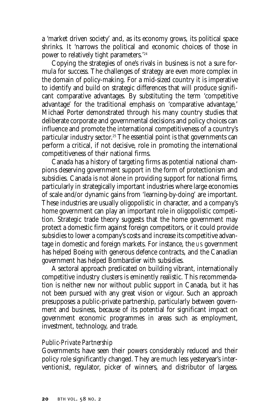a 'market driven society' and, as its economy grows, its political space shrinks. It 'narrows the political and economic choices of those in power to relatively tight parameters.'24

Copying the strategies of one's rivals in business is not a sure formula for success. The challenges of strategy are even more complex in the domain of policy-making. For a mid-sized country it is imperative to identify and build on strategic differences that will produce significant comparative advantages. By substituting the term 'competitive advantage' for the traditional emphasis on 'comparative advantage,' Michael Porter demonstrated through his many country studies that deliberate corporate and governmental decisions and policy choices can influence and promote the international competitiveness of a country's particular industry sector.<sup>25</sup> The essential point is that governments can perform a critical, if not decisive, role in promoting the international competitiveness of their national firms.

Canada has a history of targeting firms as potential national champions deserving government support in the form of protectionism and subsidies. Canada is not alone in providing support for national firms, particularly in strategically important industries where large economies of scale and/or dynamic gains from 'learning-by-doing' are important. These industries are usually oligopolistic in character, and a company's home government can play an important role in oligopolistic competition. Strategic trade theory suggests that the home government may protect a domestic firm against foreign competitors, or it could provide subsidies to lower a company's costs and increase its competitive advantage in domestic and foreign markets. For instance, the US government has helped Boeing with generous defence contracts, and the Canadian government has helped Bombardier with subsidies.

A sectoral approach predicated on building vibrant, internationally competitive industry clusters is eminently realistic. This recommendation is neither new nor without public support in Canada, but it has not been pursued with any great vision or vigour. Such an approach presupposes a public-private partnership, particularly between government and business, because of its potential for significant impact on government economic programmes in areas such as employment, investment, technology, and trade.

#### *Public-Private Partnership*

Governments have seen their powers considerably reduced and their policy role significantly changed. They are much less yesteryear's interventionist, regulator, picker of winners, and distributor of largess.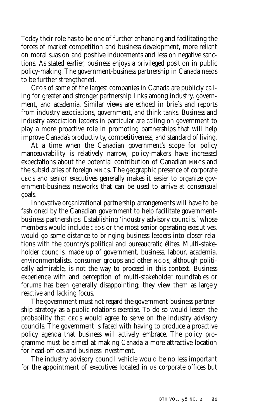Today their role has to be one of further enhancing and facilitating the forces of market competition and business development, more reliant on moral suasion and positive inducements and less on negative sanctions. As stated earlier, business enjoys a privileged position in public policy-making. The government-business partnership in Canada needs to be further strengthened.

CEOs of some of the largest companies in Canada are publicly calling for greater and stronger partnership links among industry, government, and academia. Similar views are echoed in briefs and reports from industry associations, government, and think tanks. Business and industry association leaders in particular are calling on government to play a more proactive role in promoting partnerships that will help improve Canada's productivity, competitiveness, and standard of living.

At a time when the Canadian government's scope for policy manœuvrability is relatively narrow, policy-makers have increased expectations about the potential contribution of Canadian MNCs and the subsidiaries of foreign MNCs. The geographic presence of corporate CEOs and senior executives generally makes it easier to organize government-business networks that can be used to arrive at consensual goals.

Innovative organizational partnership arrangements will have to be fashioned by the Canadian government to help facilitate governmentbusiness partnerships. Establishing 'industry advisory councils,' whose members would include CEOs or the most senior operating executives, would go some distance to bringing business leaders into closer relations with the country's political and bureaucratic élites. Multi-stakeholder councils, made up of government, business, labour, academia, environmentalists, consumer groups and other NGOs, although politically admirable, is not the way to proceed in this context. Business experience with and perception of multi-stakeholder roundtables or forums has been generally disappointing; they view them as largely reactive and lacking focus.

The government must not regard the government-business partnership strategy as a public relations exercise. To do so would lessen the probability that CEOs would agree to serve on the industry advisory councils. The government is faced with having to produce a proactive policy agenda that business will actively embrace. The policy programme must be aimed at making Canada a more attractive location for head-offices and business investment.

The industry advisory council vehicle would be no less important for the appointment of executives located in US corporate offices but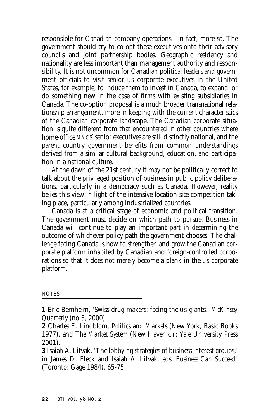responsible for Canadian company operations - in fact, more so. The government should try to co-opt these executives onto their advisory councils and joint partnership bodies. Geographic residency and nationality are less important than management authority and responsibility. It is not uncommon for Canadian political leaders and government officials to visit senior US corporate executives in the United States, for example, to induce them to invest in Canada, to expand, or do something new in the case of firms with existing subsidiaries in Canada. The co-option proposal is a much broader transnational relationship arrangement, more in keeping with the current characteristics of the Canadian corporate landscape. The Canadian corporate situation is quite different from that encountered in other countries where home-office MNCs' senior executives are still distinctly national, and the parent country government benefits from common understandings derived from a similar cultural background, education, and participation in a national culture.

At the dawn of the 21st century it may not be politically correct to talk about the privileged position of business in public policy deliberations, particularly in a democracy such as Canada. However, reality belies this view in light of the intensive location site competition taking place, particularly among industrialized countries.

Canada is at a critical stage of economic and political transition. The government must decide on which path to pursue. Business in Canada will continue to play an important part in determining the outcome of whichever policy path the government chooses. The challenge facing Canada is how to strengthen and grow the Canadian corporate platform inhabited by Canadian and foreign-controlled corporations so that it does not merely become a plank in the US corporate platform.

#### **NOTES**

**<sup>1</sup>** Eric Bernheim, 'Swiss drug makers: facing the US giants,' *McKinsey Quarterly* (no 3, 2000).

**<sup>2</sup>** Charles E. Lindblom, *Politics and Markets* (New York, Basic Books 1977), and *The Market System* (New Haven CT: Yale University Press 2001).

**<sup>3</sup>** Isaiah A. Litvak, 'The lobbying strategies of business interest groups,' in James D. Fleck and Isaiah A. Litvak, eds, *Business Can Succeed!* (Toronto: Gage 1984), 65-75.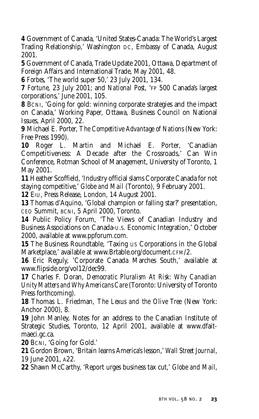**4** Government of Canada, 'United States-Canada: The World's Largest Trading Relationship,' Washington DC, Embassy of Canada, August 2001.

**5** Government of Canada, Trade Update 2001, Ottawa, Department of Foreign Affairs and International Trade, May 2001, 48.

**6** *Forbes*, 'The world super 50,' 23 July 2001, 134.

**7** *Fortune*, 23 July 2001; and *National Post*, 'FP 500 Canada's largest corporations,' June 2001, 105.

**8** BCNI, 'Going for gold: winning corporate strategies and the impact on Canada,' Working Paper, Ottawa, Business Council on National Issues, April 2000, 22.

**9** Michael E. Porter, *The Competitive Advantage of Nations* (New York: Free Press 1990).

**10** Roger L. Martin and Michael E. Porter, 'Canadian Competitiveness: A Decade after the Crossroads,' Can Win Conference, Rotman School of Management, University of Toronto, 1 May 2001.

**11** Heather Scoffield, 'Industry official slams Corporate Canada for not staying competitive,' *Globe and Mail* (Toronto), 9 February 2001.

**12** EIU, Press Release, London, 14 August 2001.

**13** Thomas d'Aquino, 'Global champion or falling star?' presentation, CEO Summit, BCNI, 5 April 2000, Toronto.

**14** Public Policy Forum, 'The Views of Canadian Industry and Business Associations on Canada-U.S. Economic Integration,' October 2000, available at www.ppforum.com.

**15** The Business Roundtable, 'Taxing US Corporations in the Global Marketplace,' available at www.Brtable.org/document.CFM/2.

**16** Eric Reguly, 'Corporate Canada Marches South,' available at www.flipside.org/vol12/dec99.

**17** Charles F. Doran, *Democratic Pluralism At Risk: Why Canadian Unity Matters and Why Americans Care* (Toronto: University of Toronto Press forthcoming).

**18** Thomas L. Friedman, *The Lexus and the Olive Tree* (New York: Anchor 2000), 8.

**19** John Manley, Notes for an address to the Canadian Institute of Strategic Studies, Toronto, 12 April 2001, available at www.dfaitmaeci.gc.ca.

**20** BCNI, 'Going for Gold.'

**21** Gordon Brown, 'Britain learns America's lesson,' *Wall Street Journal*, 19 June 2001, A22.

**22** Shawn McCarthy, 'Report urges business tax cut,' *Globe and Mail*,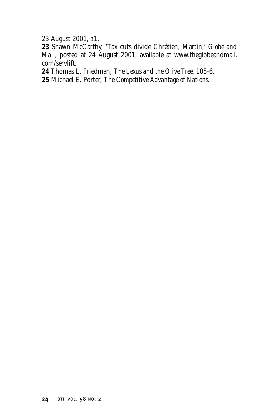23 August 2001, B1.

**23** Shawn McCarthy, 'Tax cuts divide Chrétien, Martin,' *Globe and Mail*, posted at 24 August 2001, available at www.theglobeandmail. com/servlift.

**24** Thomas L. Friedman, *The Lexus and the Olive Tree*, 105-6.

**25** Michael E. Porter, *The Competitive Advantage of Nations*.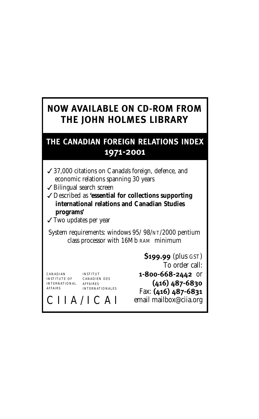## **NOW AVAILABLE ON CD-ROM FROM THE JOHN HOLMES LIBRARY**

### **THE CANADIAN FOREIGN RELATIONS INDEX 1971-2001**

- ✓37,000 citations on Canada's foreign, defence, and economic relations spanning 30 years
- ✓Bilingual search screen
- ✓Described as **'essential for collections supporting international relations and Canadian Studies programs'**
- ✓Two updates per year

System requirements: windows 95/ 98/NT/2000 pentium class processor with 16Mb RAM minimum

CANADIAN INSTITUTE OF INTERNATIONAL AFFAIRES AFFAIRS

INSTITUT CANADIEN DES INTERNATIONALES

**\$199.99** (plus GST) To order call: **1-800-668-2442** or **(416) 487-6830** Fax: **(416) 487-6831** email mailbox@ciia.org

CIIA/ICAI